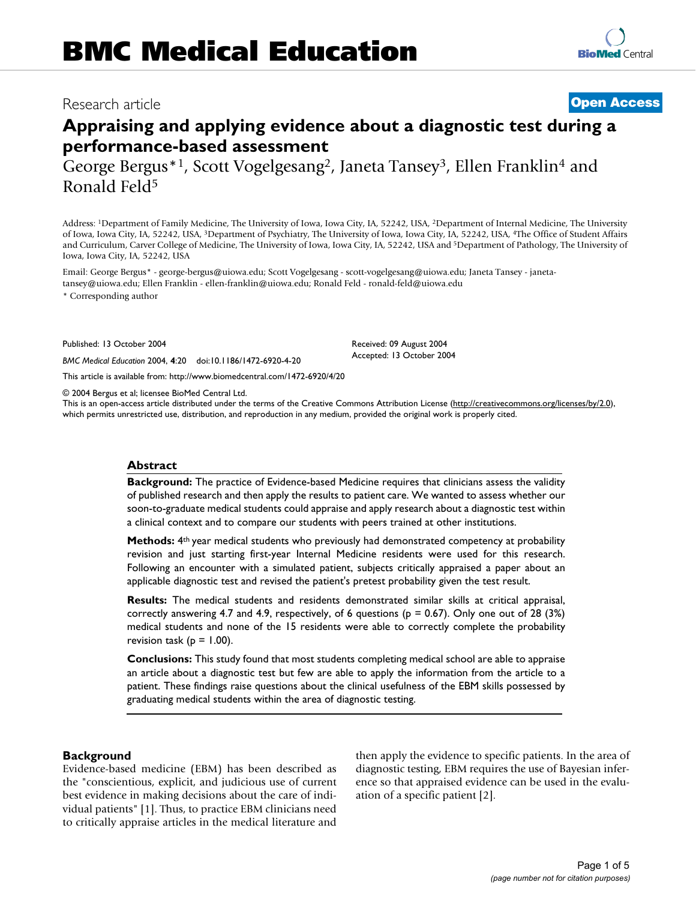# **Appraising and applying evidence about a diagnostic test during a performance-based assessment**

George Bergus\*1, Scott Vogelgesang2, Janeta Tansey3, Ellen Franklin4 and Ronald Feld5

Address: 1Department of Family Medicine, The University of Iowa, Iowa City, IA, 52242, USA, 2Department of Internal Medicine, The University of Iowa, Iowa City, IA, 52242, USA, 3Department of Psychiatry, The University of Iowa, Iowa City, IA, 52242, USA, 4The Office of Student Affairs and Curriculum, Carver College of Medicine, The University of Iowa, Iowa City, IA, 52242, USA and 5Department of Pathology, The University of Iowa, Iowa City, IA, 52242, USA

Email: George Bergus\* - george-bergus@uiowa.edu; Scott Vogelgesang - scott-vogelgesang@uiowa.edu; Janeta Tansey - janetatansey@uiowa.edu; Ellen Franklin - ellen-franklin@uiowa.edu; Ronald Feld - ronald-feld@uiowa.edu

\* Corresponding author

Published: 13 October 2004

*BMC Medical Education* 2004, **4**:20 doi:10.1186/1472-6920-4-20

[This article is available from: http://www.biomedcentral.com/1472-6920/4/20](http://www.biomedcentral.com/1472-6920/4/20)

© 2004 Bergus et al; licensee BioMed Central Ltd.

This is an open-access article distributed under the terms of the Creative Commons Attribution License (<http://creativecommons.org/licenses/by/2.0>), which permits unrestricted use, distribution, and reproduction in any medium, provided the original work is properly cited.

Received: 09 August 2004 Accepted: 13 October 2004

#### **Abstract**

**Background:** The practice of Evidence-based Medicine requires that clinicians assess the validity of published research and then apply the results to patient care. We wanted to assess whether our soon-to-graduate medical students could appraise and apply research about a diagnostic test within a clinical context and to compare our students with peers trained at other institutions.

**Methods:** 4<sup>th</sup> year medical students who previously had demonstrated competency at probability revision and just starting first-year Internal Medicine residents were used for this research. Following an encounter with a simulated patient, subjects critically appraised a paper about an applicable diagnostic test and revised the patient's pretest probability given the test result.

**Results:** The medical students and residents demonstrated similar skills at critical appraisal, correctly answering 4.7 and 4.9, respectively, of 6 questions ( $p = 0.67$ ). Only one out of 28 (3%) medical students and none of the 15 residents were able to correctly complete the probability revision task ( $p = 1.00$ ).

**Conclusions:** This study found that most students completing medical school are able to appraise an article about a diagnostic test but few are able to apply the information from the article to a patient. These findings raise questions about the clinical usefulness of the EBM skills possessed by graduating medical students within the area of diagnostic testing.

#### **Background**

Evidence-based medicine (EBM) has been described as the "conscientious, explicit, and judicious use of current best evidence in making decisions about the care of individual patients" [1]. Thus, to practice EBM clinicians need to critically appraise articles in the medical literature and then apply the evidence to specific patients. In the area of diagnostic testing, EBM requires the use of Bayesian inference so that appraised evidence can be used in the evaluation of a specific patient [2].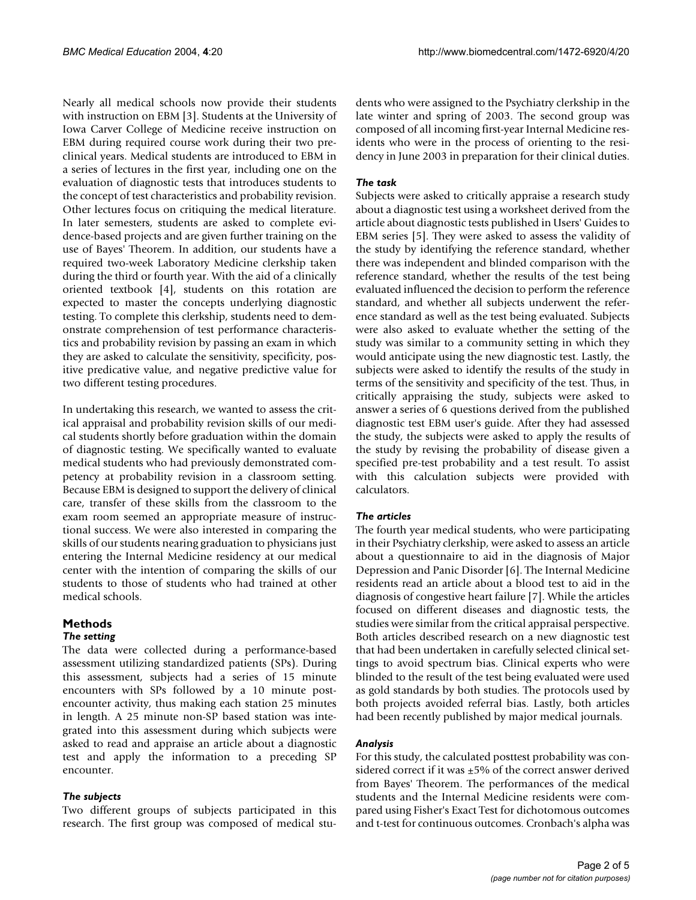Nearly all medical schools now provide their students with instruction on EBM [3]. Students at the University of Iowa Carver College of Medicine receive instruction on EBM during required course work during their two preclinical years. Medical students are introduced to EBM in a series of lectures in the first year, including one on the evaluation of diagnostic tests that introduces students to the concept of test characteristics and probability revision. Other lectures focus on critiquing the medical literature. In later semesters, students are asked to complete evidence-based projects and are given further training on the use of Bayes' Theorem. In addition, our students have a required two-week Laboratory Medicine clerkship taken during the third or fourth year. With the aid of a clinically oriented textbook [4], students on this rotation are expected to master the concepts underlying diagnostic testing. To complete this clerkship, students need to demonstrate comprehension of test performance characteristics and probability revision by passing an exam in which they are asked to calculate the sensitivity, specificity, positive predicative value, and negative predictive value for two different testing procedures.

In undertaking this research, we wanted to assess the critical appraisal and probability revision skills of our medical students shortly before graduation within the domain of diagnostic testing. We specifically wanted to evaluate medical students who had previously demonstrated competency at probability revision in a classroom setting. Because EBM is designed to support the delivery of clinical care, transfer of these skills from the classroom to the exam room seemed an appropriate measure of instructional success. We were also interested in comparing the skills of our students nearing graduation to physicians just entering the Internal Medicine residency at our medical center with the intention of comparing the skills of our students to those of students who had trained at other medical schools.

# **Methods**

#### *The setting*

The data were collected during a performance-based assessment utilizing standardized patients (SPs). During this assessment, subjects had a series of 15 minute encounters with SPs followed by a 10 minute postencounter activity, thus making each station 25 minutes in length. A 25 minute non-SP based station was integrated into this assessment during which subjects were asked to read and appraise an article about a diagnostic test and apply the information to a preceding SP encounter.

#### *The subjects*

Two different groups of subjects participated in this research. The first group was composed of medical students who were assigned to the Psychiatry clerkship in the late winter and spring of 2003. The second group was composed of all incoming first-year Internal Medicine residents who were in the process of orienting to the residency in June 2003 in preparation for their clinical duties.

### *The task*

Subjects were asked to critically appraise a research study about a diagnostic test using a worksheet derived from the article about diagnostic tests published in Users' Guides to EBM series [5]. They were asked to assess the validity of the study by identifying the reference standard, whether there was independent and blinded comparison with the reference standard, whether the results of the test being evaluated influenced the decision to perform the reference standard, and whether all subjects underwent the reference standard as well as the test being evaluated. Subjects were also asked to evaluate whether the setting of the study was similar to a community setting in which they would anticipate using the new diagnostic test. Lastly, the subjects were asked to identify the results of the study in terms of the sensitivity and specificity of the test. Thus, in critically appraising the study, subjects were asked to answer a series of 6 questions derived from the published diagnostic test EBM user's guide. After they had assessed the study, the subjects were asked to apply the results of the study by revising the probability of disease given a specified pre-test probability and a test result. To assist with this calculation subjects were provided with calculators.

#### *The articles*

The fourth year medical students, who were participating in their Psychiatry clerkship, were asked to assess an article about a questionnaire to aid in the diagnosis of Major Depression and Panic Disorder [6]. The Internal Medicine residents read an article about a blood test to aid in the diagnosis of congestive heart failure [7]. While the articles focused on different diseases and diagnostic tests, the studies were similar from the critical appraisal perspective. Both articles described research on a new diagnostic test that had been undertaken in carefully selected clinical settings to avoid spectrum bias. Clinical experts who were blinded to the result of the test being evaluated were used as gold standards by both studies. The protocols used by both projects avoided referral bias. Lastly, both articles had been recently published by major medical journals.

#### *Analysis*

For this study, the calculated posttest probability was considered correct if it was ±5% of the correct answer derived from Bayes' Theorem. The performances of the medical students and the Internal Medicine residents were compared using Fisher's Exact Test for dichotomous outcomes and t-test for continuous outcomes. Cronbach's alpha was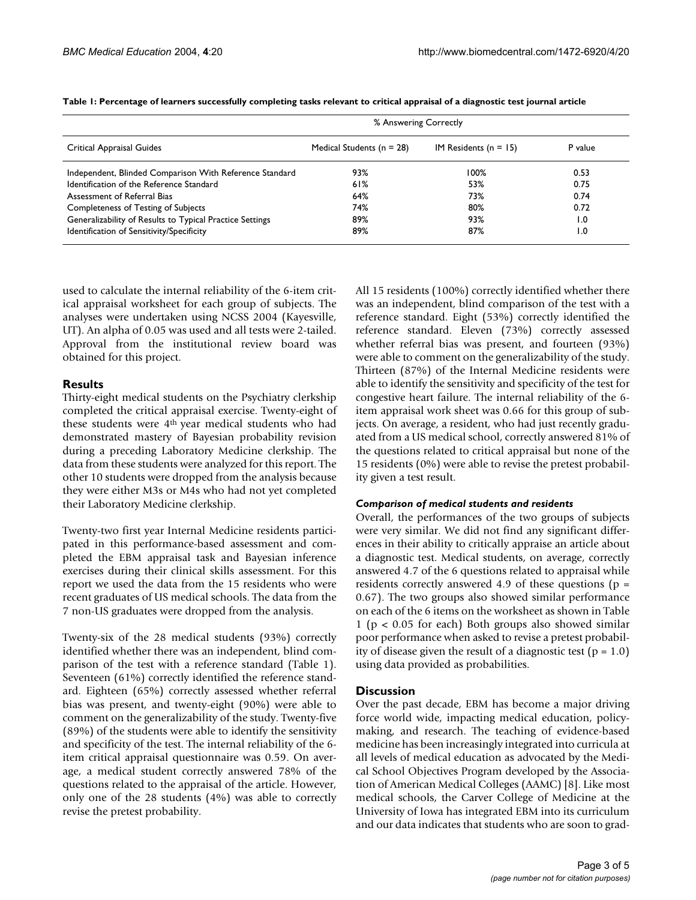|                                                          | % Answering Correctly         |                         |                  |
|----------------------------------------------------------|-------------------------------|-------------------------|------------------|
| Critical Appraisal Guides                                | Medical Students ( $n = 28$ ) | IM Residents $(n = 15)$ | P value          |
| Independent, Blinded Comparison With Reference Standard  | 93%                           | $100\%$                 | 0.53             |
| Identification of the Reference Standard                 | 61%                           | 53%                     | 0.75             |
| Assessment of Referral Bias                              | 64%                           | 73%                     | 0.74             |
| Completeness of Testing of Subjects                      | 74%                           | 80%                     | 0.72             |
| Generalizability of Results to Typical Practice Settings | 89%                           | 93%                     | $\overline{1.0}$ |
| Identification of Sensitivity/Specificity                | 89%                           | 87%                     | $\overline{1.0}$ |

<span id="page-2-0"></span>**Table 1: Percentage of learners successfully completing tasks relevant to critical appraisal of a diagnostic test journal article**

used to calculate the internal reliability of the 6-item critical appraisal worksheet for each group of subjects. The analyses were undertaken using NCSS 2004 (Kayesville, UT). An alpha of 0.05 was used and all tests were 2-tailed. Approval from the institutional review board was obtained for this project.

#### **Results**

Thirty-eight medical students on the Psychiatry clerkship completed the critical appraisal exercise. Twenty-eight of these students were 4th year medical students who had demonstrated mastery of Bayesian probability revision during a preceding Laboratory Medicine clerkship. The data from these students were analyzed for this report. The other 10 students were dropped from the analysis because they were either M3s or M4s who had not yet completed their Laboratory Medicine clerkship.

Twenty-two first year Internal Medicine residents participated in this performance-based assessment and completed the EBM appraisal task and Bayesian inference exercises during their clinical skills assessment. For this report we used the data from the 15 residents who were recent graduates of US medical schools. The data from the 7 non-US graduates were dropped from the analysis.

Twenty-six of the 28 medical students (93%) correctly identified whether there was an independent, blind comparison of the test with a reference standard (Table [1\)](#page-2-0). Seventeen (61%) correctly identified the reference standard. Eighteen (65%) correctly assessed whether referral bias was present, and twenty-eight (90%) were able to comment on the generalizability of the study. Twenty-five (89%) of the students were able to identify the sensitivity and specificity of the test. The internal reliability of the 6 item critical appraisal questionnaire was 0.59. On average, a medical student correctly answered 78% of the questions related to the appraisal of the article. However, only one of the 28 students (4%) was able to correctly revise the pretest probability.

All 15 residents (100%) correctly identified whether there was an independent, blind comparison of the test with a reference standard. Eight (53%) correctly identified the reference standard. Eleven (73%) correctly assessed whether referral bias was present, and fourteen (93%) were able to comment on the generalizability of the study. Thirteen (87%) of the Internal Medicine residents were able to identify the sensitivity and specificity of the test for congestive heart failure. The internal reliability of the 6 item appraisal work sheet was 0.66 for this group of subjects. On average, a resident, who had just recently graduated from a US medical school, correctly answered 81% of the questions related to critical appraisal but none of the 15 residents (0%) were able to revise the pretest probability given a test result.

#### *Comparison of medical students and residents*

Overall, the performances of the two groups of subjects were very similar. We did not find any significant differences in their ability to critically appraise an article about a diagnostic test. Medical students, on average, correctly answered 4.7 of the 6 questions related to appraisal while residents correctly answered 4.9 of these questions ( $p =$ 0.67). The two groups also showed similar performance on each of the 6 items on the worksheet as shown in Table [1](#page-2-0) (p < 0.05 for each) Both groups also showed similar poor performance when asked to revise a pretest probability of disease given the result of a diagnostic test ( $p = 1.0$ ) using data provided as probabilities.

#### **Discussion**

Over the past decade, EBM has become a major driving force world wide, impacting medical education, policymaking, and research. The teaching of evidence-based medicine has been increasingly integrated into curricula at all levels of medical education as advocated by the Medical School Objectives Program developed by the Association of American Medical Colleges (AAMC) [8]. Like most medical schools, the Carver College of Medicine at the University of Iowa has integrated EBM into its curriculum and our data indicates that students who are soon to grad-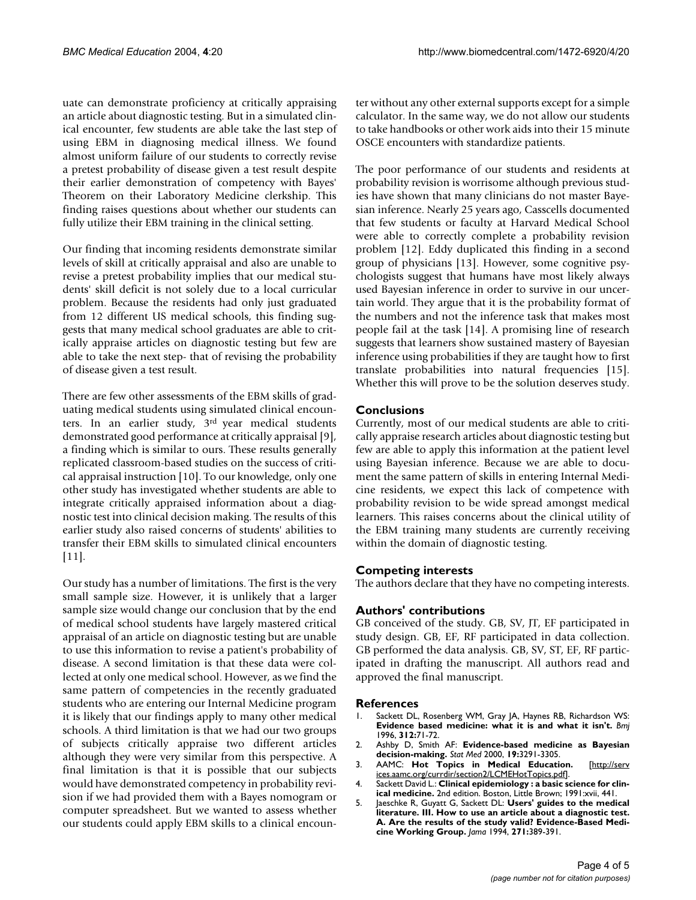uate can demonstrate proficiency at critically appraising an article about diagnostic testing. But in a simulated clinical encounter, few students are able take the last step of using EBM in diagnosing medical illness. We found almost uniform failure of our students to correctly revise a pretest probability of disease given a test result despite their earlier demonstration of competency with Bayes' Theorem on their Laboratory Medicine clerkship. This finding raises questions about whether our students can fully utilize their EBM training in the clinical setting.

Our finding that incoming residents demonstrate similar levels of skill at critically appraisal and also are unable to revise a pretest probability implies that our medical students' skill deficit is not solely due to a local curricular problem. Because the residents had only just graduated from 12 different US medical schools, this finding suggests that many medical school graduates are able to critically appraise articles on diagnostic testing but few are able to take the next step- that of revising the probability of disease given a test result.

There are few other assessments of the EBM skills of graduating medical students using simulated clinical encounters. In an earlier study, 3rd year medical students demonstrated good performance at critically appraisal [9], a finding which is similar to ours. These results generally replicated classroom-based studies on the success of critical appraisal instruction [10]. To our knowledge, only one other study has investigated whether students are able to integrate critically appraised information about a diagnostic test into clinical decision making. The results of this earlier study also raised concerns of students' abilities to transfer their EBM skills to simulated clinical encounters [11].

Our study has a number of limitations. The first is the very small sample size. However, it is unlikely that a larger sample size would change our conclusion that by the end of medical school students have largely mastered critical appraisal of an article on diagnostic testing but are unable to use this information to revise a patient's probability of disease. A second limitation is that these data were collected at only one medical school. However, as we find the same pattern of competencies in the recently graduated students who are entering our Internal Medicine program it is likely that our findings apply to many other medical schools. A third limitation is that we had our two groups of subjects critically appraise two different articles although they were very similar from this perspective. A final limitation is that it is possible that our subjects would have demonstrated competency in probability revision if we had provided them with a Bayes nomogram or computer spreadsheet. But we wanted to assess whether our students could apply EBM skills to a clinical encounter without any other external supports except for a simple calculator. In the same way, we do not allow our students to take handbooks or other work aids into their 15 minute OSCE encounters with standardize patients.

The poor performance of our students and residents at probability revision is worrisome although previous studies have shown that many clinicians do not master Bayesian inference. Nearly 25 years ago, Casscells documented that few students or faculty at Harvard Medical School were able to correctly complete a probability revision problem [12]. Eddy duplicated this finding in a second group of physicians [13]. However, some cognitive psychologists suggest that humans have most likely always used Bayesian inference in order to survive in our uncertain world. They argue that it is the probability format of the numbers and not the inference task that makes most people fail at the task [14]. A promising line of research suggests that learners show sustained mastery of Bayesian inference using probabilities if they are taught how to first translate probabilities into natural frequencies [15]. Whether this will prove to be the solution deserves study.

# **Conclusions**

Currently, most of our medical students are able to critically appraise research articles about diagnostic testing but few are able to apply this information at the patient level using Bayesian inference. Because we are able to document the same pattern of skills in entering Internal Medicine residents, we expect this lack of competence with probability revision to be wide spread amongst medical learners. This raises concerns about the clinical utility of the EBM training many students are currently receiving within the domain of diagnostic testing.

## **Competing interests**

The authors declare that they have no competing interests.

#### **Authors' contributions**

GB conceived of the study. GB, SV, JT, EF participated in study design. GB, EF, RF participated in data collection. GB performed the data analysis. GB, SV, ST, EF, RF participated in drafting the manuscript. All authors read and approved the final manuscript.

#### **References**

- 1. Sackett DL, Rosenberg WM, Gray JA, Haynes RB, Richardson WS: **[Evidence based medicine: what it is and what it isn't.](http://www.ncbi.nlm.nih.gov/entrez/query.fcgi?cmd=Retrieve&db=PubMed&dopt=Abstract&list_uids=8555924)** *Bmj* 1996, **312:**71-72.
- 2. Ashby D, Smith AF: **[Evidence-based medicine as Bayesian](http://www.ncbi.nlm.nih.gov/entrez/query.fcgi?cmd=Retrieve&db=PubMed&dopt=Abstract&list_uids=11113960) [decision-making.](http://www.ncbi.nlm.nih.gov/entrez/query.fcgi?cmd=Retrieve&db=PubMed&dopt=Abstract&list_uids=11113960)** *Stat Med* 2000, **19:**3291-3305.
- 3. AAMC: **Hot Topics in Medical Education.** [[http://serv](http://services.aamc.org/currdir/section2/LCMEHotTopics.pdf) [ices.aamc.org/currdir/section2/LCMEHotTopics.pdf](http://services.aamc.org/currdir/section2/LCMEHotTopics.pdf)].
- 4. Sackett David L.: **Clinical epidemiology : a basic science for clinical medicine.** 2nd edition. Boston, Little Brown; 1991:xvii, 441.
- 5. Jaeschke R, Guyatt G, Sackett DL: **[Users' guides to the medical](http://www.ncbi.nlm.nih.gov/entrez/query.fcgi?cmd=Retrieve&db=PubMed&dopt=Abstract&list_uids=8283589) literature. III. How to use an article about a diagnostic test. [A. Are the results of the study valid? Evidence-Based Medi](http://www.ncbi.nlm.nih.gov/entrez/query.fcgi?cmd=Retrieve&db=PubMed&dopt=Abstract&list_uids=8283589)[cine Working Group.](http://www.ncbi.nlm.nih.gov/entrez/query.fcgi?cmd=Retrieve&db=PubMed&dopt=Abstract&list_uids=8283589)** *Jama* 1994, **271:**389-391.